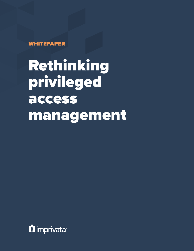WHITEPAPER

Rethinking privileged access management

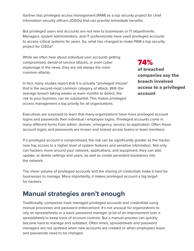Gartner lists privileged access management (PAM) as a top security project for chief information security officers (CISOs) that can provide immediate benefits.

But privileged users and accounts are not new to businesses or IT departments. Managers, system administrators, and IT professionals have used privileged accounts to access critical systems for years. So, what has changed to make PAM a top security project for CISOs?

While we often hear about individual user accounts getting compromised, denial-of-service attacks, or even cyber espionage in the news, they are not always the most common attacks.

74%

In fact, many studies report that it is actually "privileged misuse" that is the second-most common category of attack. With the average breach taking weeks or even months to detect, the risk to your business can be substantial. This makes privileged access management a top priority for all organizations.

of breached companies say the breach involved access to a privileged account

Executives are surprised to learn that many organizations have more privileged account logins and passwords then individual / employee logins. Privileged accounts come in many different forms from admin, domain, emergency, service, to application. Often these account logins and passwords are known and shared across teams or team members.

If a privileged account is compromised, the risk can be significantly greater as the hacker now has access to a higher level of system features and sensitive information. Not only can hackers move around your network, applications, and equipment, they can add, update, or delete settings and users, as well as create persistent backdoors into the network.

The sheer volume of privileged accounts and the sharing of credentials make it hard for businesses to manage. More importantly, it makes privileged account a big target for hackers.

### **Manual strategies aren't enough**

Traditionally, companies have managed privileged accounts and credentials using manual processes and password enforcement. It's not unusual for organizations to rely on spreadsheets or a basic password manager (a bit of an improvement over a spreadsheet) to keep track of account controls. But a manual process can quickly become hard to manage and outdated. Often times, spreadsheets and password managers are not updated when new accounts are created or when employees leave and passwords need to be changed.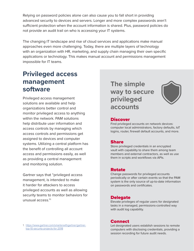Relying on password policies alone can also cause you to fall short in providing advanced security to devices and servers. Longer and more complex passwords aren't sufficient protection when the account information is shared. Plus, password policies do not provide an audit trail on who is accessing your IT systems.

The changing IT landscape and rise of cloud services and applications make manual approaches even more challenging. Today, there are multiple layers of technology with an organization with HR, marketing, and supply chain managing their own specific applications or technology. This makes manual account and permissions management impossible for IT teams.

### **Privileged access management software**

Privileged access management solutions are available and help organizations better control and monitor privileged access to anything within the network. PAM solutions help distribute user information and access controls by managing which access controls and permissions get assigned to devices and computer systems. Utilizing a central platform has the benefit of controlling all account access and permissions easily, as well as providing a central management and monitoring solution.

Gartner says that "privileged access management, is intended to make it harder for attackers to access privileged accounts as well as allowing security teams to monitor behaviors for unusual access."1

1. [https://www.gartner.com/smarterwithgartner/gartner](https://www.gartner.com/smarterwithgartner/gartner-top-10-security-projects-for-2018)[top-10-security-projects-for-2018](https://www.gartner.com/smarterwithgartner/gartner-top-10-security-projects-for-2018)

**The simple way to secure privileged accounts**



#### **Discover**

Find privileged accounts on network devices: computer local administrators, factory defaults, IoT logins, router, firewall default accounts, and more.

#### Share

Store privileged credentials in an encrypted vault with capability to share them among team members and external contractors, as well as use them in scripts and workflows via APIs.

#### Rotate

Change passwords for privileged accounts periodically or after certain events so that the PAM system is the only source of up-to-date information on passwords and certificates.

#### **Delegate**

Elevate privileges of regular users for designated tasks in a managed, permissions-controlled way with audit log capability.

#### **Connect**

Let designated users establish sessions to remote computers with disclosing credentials, providing a session recording for future audit needs.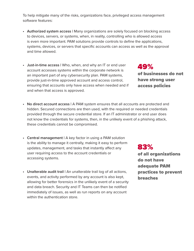To help mitigate many of the risks, organizations face, privileged access management software features:

- **• Authorized system access |** Many organizations are solely focused on blocking access to devices, servers, or systems, when, in reality, controlling who is allowed access is even more important. PAM solutions provide controls to define the applications, systems, devices, or servers that specific accounts can access as well as the approval and time allowed.
- **• Just-in-time access |** Who, when, and why an IT or end user account accesses systems within the corporate network is an important part of any cybersecurity plan. PAM systems, provide just-in-time approved account and access control, ensuring that accounts only have access when needed and if and when that access is approved.
- **• No direct account access |** A PAM system ensures that all accounts are protected and hidden. Secured connections are then used, with the required or needed credentials provided through the secure credential store. If an IT administrator or end user does not know the credentials for systems, then, in the unlikely event of a phishing attack, these credentials cannot be compromised.
- **• Central management |** A key factor in using a PAM solution is the ability to manage it centrally, making it easy to perform updates, management, and tasks that instantly affect any user requiring access to the account credentials or accessing systems.
- **• Unalterable audit trail |** An unalterable trail log of all actions, events, and activity performed by any account is also kept, allowing for better forensics in the unlikely event of a security and data breach. Security and IT Teams can then be notified immediately of issues, as well as run reports on any account within the authentication store.

### 83%

of all organizations do not have adequate PAM practices to prevent breaches

49% of businesses do not have strong user access policies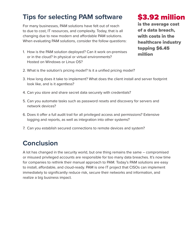### **Tips for selecting PAM software**

For many businesses, PAM solutions have felt out of reach to due to cost, IT resources, and complexity. Today, that is all changing due to new modern and affordable PAM solutions. When evaluating PAM solutions, consider the follow questions:

1. How is the PAM solution deployed? Can it work on-premises or in the cloud? In physical or virtual environments? Hosted on Windows or Linux OS?

## \$3.92 million

is the average cost of a data breach, with costs in the healthcare industry topping \$6.45 million

- 2. What is the solution's pricing model? Is it a unified pricing model?
- 3. How long does it take to implement? What does the client install and server footprint look like, and is it agentless?
- 4. Can you store and share secret data securely with credentials?
- 5. Can you automate tasks such as password resets and discovery for servers and network devices?
- 6. Does it offer a full audit trail for all privileged access and permissions? Extensive logging and reports, as well as integration into other systems?
- 7. Can you establish secured connections to remote devices and system?

### **Conclusion**

A lot has changed in the security world, but one thing remains the same – compromised or misused privileged accounts are responsible for too many data breaches. It's now time for companies to rethink their manual approach to PAM. Today's PAM solutions are easy to install, affordable, and cloud-ready. PAM is one IT project that CISOs can implement immediately to significantly reduce risk, secure their networks and information, and realize a big business impact.